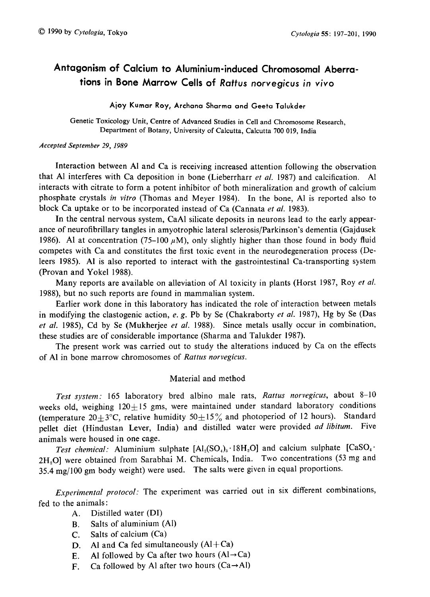# Antagonism of Calcium to Aluminium-induced Chromosomal Aberra tions in Bone Marrow Cells of Rattus norvegicus in vivo

# Ajoy Kumar Roy, Archana Sharma and Geeta Talukder

Genetic Toxicology Unit, Centre of Advanced Studies in Cell and Chromosome Research, Department of Botany, University of Calcutta, Calcutta 700 019, India

### Accepted September 29, 1989

Interaction between Al and Ca is receiving increased attention following the observation that Al interferes with Ca deposition in bone (Lieberrharr et al. 1987) and calcification. Al interacts with citrate to form a potent inhibitor of both mineralization and growth of calcium phosphate crystals in vitro (Thomas and Meyer 1984). In the bone, Al is reported also to block Ca uptake or to be incorporated instead of Ca (Cannata et al. 1983).

In the central nervous system, CaAl silicate deposits in neurons lead to the early appearance of neurofibrillary tangles in amyotrophic lateral sclerosis/Parkinson's dementia (Gajdusek 1986). Al at concentration (75–100  $\mu$ M), only slightly higher than those found in body fluid competes with Ca and constitutes the first toxic event in the neurodegeneration process (De leers 1985). Al is also reported to interact with the gastrointestinal Ca-transporting system (Provan and Yokel 1988).

Many reports are available on alleviation of Al toxicity in plants (Horst 1987, Roy *et al.*) 1988), but no such reports are found in mammalian system.

Earlier work done in this laboratory has indicated the role of interaction between metals in modifying the clastogenic action, e. g. Pb by Se (Chakraborty et al. 1987), Hg by Se (Das et al. 1985), Cd by Se (Mukherjee et al. 1988). Since metals usally occur in combination, these studies are of considerable importance (Sharma and Talukder 1987).

The present work was carried out to study the alterations induced by Ca on the effects of Al in bone marrow chromosomes of Rattus norvegicus.

# Material and method

Test system: 165 laboratory bred albino male rats, Rattus norvegicus, about 8-10 weeks old, weighing  $120 \pm 15$  gms, were maintained under standard laboratory conditions (temperature 20+3°C, relative humidity  $50\pm15\%$  and photoperiod of 12 hours). Standard pellet diet (Hindustan Lever, India) and distilled water were provided ad libitum. Five animals were housed in one cage.

Test chemical: Aluminium sulphate  $[Al_2(SO_4)_3 \cdot 18H_2O]$  and calcium sulphate  $[CaSO_4 \cdot$ 2H<sub>2</sub>O] were obtained from Sarabhai M. Chemicals, India. Two concentrations (53 mg and 35.4mg/100gm body weight) were used. The salts were given in equal proportions.

Experimental protocol: The experiment was carried out in six different combinations, fed to the animals:

- A. Distilled water (DI)
- B. Salts of aluminium (Al)
- C. Salts of calcium (Ca)
- D. Al and Ca fed simultaneously  $(AI+Ca)$
- E. Al followed by Ca after two hours  $(A \rightarrow Ca)$
- F. Ca followed by Al after two hours  $(Ca \rightarrow Al)$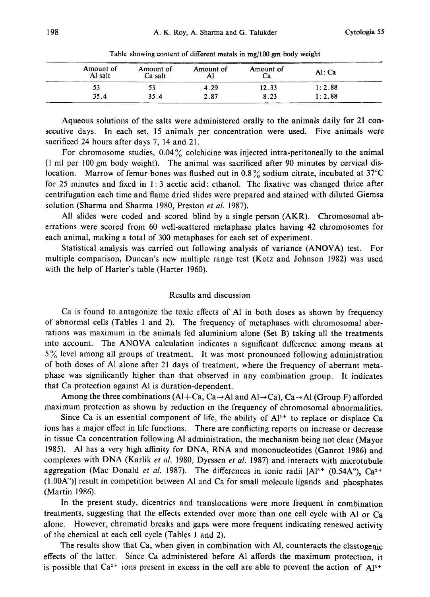| ______ | Amount of<br>Amount of<br>Al salt<br>Ca salt |      | Amount of | Amount of | Al: Ca |  |
|--------|----------------------------------------------|------|-----------|-----------|--------|--|
|        |                                              |      | 4.29      | 12.33     | 1:2.88 |  |
|        | 35.4                                         | 35.4 | 2.87      | 8.23      | 1:2.88 |  |

Table showing content of different metals in mg/100 gm body weight

Aqueous solutions of the salts were administered orally to the animals daily for 21 consecutive days. In each set, 15 animals per concentration were used. Five animals were sacrificed 24 hours after days 7, 14 and 21.

For chromosome studies, 0.04% colchicine was injected intra-peritoneally to the animal (I ml per 100 gm body weight). The animal was sacrificed after 90 minutes by cervical dislocation. Marrow of femur bones was flushed out in 0.8% sodium citrate, incubated at  $37^{\circ}$ C for 25 minutes and fixed in 1: 3 acetic acid: ethanol. The fixative was changed thrice after centrifugation each time and flame dried slides were prepared and stained with diluted Giemsa solution (Sharma and Sharma 1980, Preston et al. 1987).

All slides were coded and scored blind by a single person (AKR). Chromosomal aberrations were scored from 60 well-scattered metaphase plates having 42 chromosomes for each animal, making a total of 300 metaphases for each set of experiment.

Statistical analysis was carried out following analysis of variance (ANOVA) test. For multiple comparison, Duncan's new multiple range test (Kotz and Johnson 1982) was used with the help of Harter's table (Harter 1960).

#### Results and discussion

Ca is found to antagonize the toxic effects of Al in both doses as shown by frequency of abnormal cells (Tables 1 and 2). The frequency of metaphases with chromosomal aberrations was maximum in the animals fed aluminium alone (Set B) taking all the treatments into account. The ANOVA calculation indicates a significant difference among means at  $5\%$  level among all groups of treatment. It was most pronounced following administration of both doses of Al alone after 21 days of treatment, where the frequency of aberrant metaphase was significantly higher than that observed in any combination group. It indicates that Ca protection against Al is duration-dependent.

Among the three combinations  $(A|+Ca, Ca \rightarrow Al$  and  $Al \rightarrow Ca$ ),  $Ca \rightarrow Al$  (Group F) afforded maximum protection as shown by reduction in the frequency of chromosomal abnormalities.

Since Ca is an essential component of life, the ability of  $Al^{3+}$  to replace or displace Ca ions has a major effect in life functions. There are conflicting reports on increase or decrease in tissue Ca concentration following Al administration, the mechanism being not clear (Mayor 1985). Al has a very high affinity for DNA, RNA and mononucleotides (Ganrot 1986) and complexes with DNA (Karlik et al. 1980, Dyrssen et al. 1987) and interacts with microtubule aggregation (Mac Donald et al. 1987). The differences in ionic radii  $[A]^{3+}$  (0.54A°), Ca<sup>2+</sup>  $(1.00A<sup>°</sup>)$ ] result in competition between Al and Ca for small molecule ligands and phosphates (Martin 1986).

In the present study, dicentrics and translocations were more frequent in combination treatments, suggesting that the effects extended over more than one cell cycle with Al or Ca alone. However, chromatid breaks and gaps were more frequent indicating renewed activity of the chemical at each cell cycle (Tables 1 and 2).

The results show that Ca, when given in combination with Al, counteracts the clastogenic effects of the latter. Since Ca administered before Al affords the maximum protection, it is possible that  $Ca^{2+}$  ions present in excess in the cell are able to prevent the action of  $A^{13+}$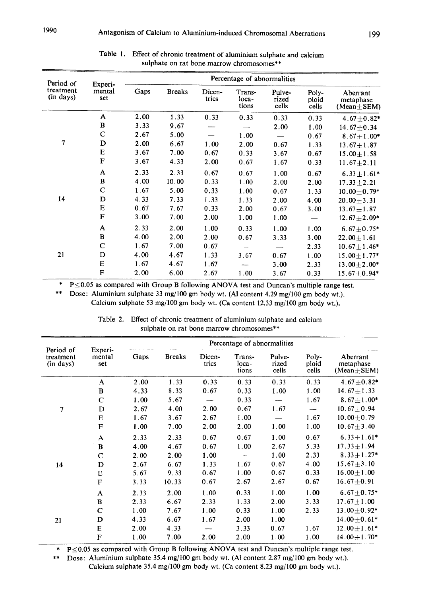| Period of<br>treatment<br>(in days) | Experi-<br>mental<br>set | Percentage of abnormalities |               |                 |                          |                          |                         |                                           |
|-------------------------------------|--------------------------|-----------------------------|---------------|-----------------|--------------------------|--------------------------|-------------------------|-------------------------------------------|
|                                     |                          | Gaps                        | <b>Breaks</b> | Dicen-<br>trics | Trans-<br>loca-<br>tions | Pulve-<br>rized<br>cells | Poly-<br>ploid<br>cells | Aberrant<br>metaphase<br>$(Mean \pm SEM)$ |
|                                     | A                        | 2.00                        | 1.33          | 0.33            | 0.33                     | 0.33                     | 0.33                    | $4.67 \pm 0.82*$                          |
|                                     | B                        | 3.33                        | 9.67          |                 |                          | 2.00                     | 1.00                    | $14.67 \pm 0.34$                          |
|                                     | C                        | 2.67                        | 5.00          |                 | 1.00                     |                          | 0.67                    | $8.67 + 1.00*$                            |
| 7                                   | D                        | 2.00                        | 6.67          | 1.00            | 2.00                     | 0.67                     | 1.33                    | $13.67 \pm 1.87$                          |
|                                     | Е                        | 3.67                        | 7.00          | 0.67            | 0.33                     | 3.67                     | 0.67                    | $15.00 \pm 1.58$                          |
|                                     | F                        | 3.67                        | 4.33          | 2.00            | 0.67                     | 1.67                     | 0.33                    | $11.67 \pm 2.11$                          |
|                                     | A                        | 2.33                        | 2.33          | 0.67            | 0.67                     | 1.00                     | 0.67                    | $6.33 \pm 1.61*$                          |
|                                     | B                        | 4.00                        | 10.00         | 0.33            | 1.00                     | 2.00                     | 2.00                    | $17.33 \pm 2.21$                          |
|                                     | $\mathbf C$              | 1.67                        | 5.00          | 0.33            | 1.00                     | 0.67                     | 1.33                    | $10.00 + 0.79*$                           |
| 14                                  | D                        | 4.33                        | 7.33          | 1.33            | 1.33                     | 2.00                     | 4.00                    | $20.00 \pm 3.31$                          |
|                                     | Е                        | 0.67                        | 7.67          | 0.33            | 2.00                     | 0.67                     | 3.00                    | $13.67 \pm 1.87$                          |
|                                     | F                        | 3.00                        | 7.00          | 2.00            | 1.00                     | 1.00                     |                         | $12.67 + 2.09*$                           |
|                                     | A                        | 2.33                        | 2.00          | 1.00            | 0.33                     | 1.00                     | 1.00                    | $6.67 + 0.75*$                            |
|                                     | B                        | 4.00                        | 2.00          | 2.00            | 0.67                     | 3.33                     | 3.00                    | $22.00 \pm 1.61$                          |
|                                     | $\mathbf C$              | 1.67                        | 7.00          | 0.67            |                          |                          | 2.33                    | $10.67 \pm 1.46*$                         |
| 21                                  | D                        | 4.00                        | 4.67          | 1.33            | 3.67                     | 0.67                     | 1.00                    | $15.00 \pm 1.77*$                         |
|                                     | E                        | 1.67                        | 4.67          | 1.67            |                          | 3.00                     | 2.33                    | $13.00 \pm 2.00*$                         |
|                                     | $\mathbf F$              | 2.00                        | 6.00          | 2.67            | 1.00                     | 3.67                     | 0.33                    | $15.67 \pm 0.94*$                         |

| Table 1. Effect of chronic treatment of aluminium sulphate and calcium |
|------------------------------------------------------------------------|
| sulphate on rat bone marrow chromosomes**                              |

\*  $P \le 0.05$  as compared with Group B following ANOVA test and Duncan's multiple range test.

\*\* Dose: Aluminium sulphate 33 mg/100 gm body wt. (Al content 4.29 mg/100 gm body wt.).

Calcium sulphate 53 mg/100 gm body wt. (Ca content 12.33 mg/100 gm body wt.).

| Period of<br>treatment<br>(in days) | Experi-<br>mental<br>set | Percentage of abnormalities |               |                 |                          |                          |                         |                                           |
|-------------------------------------|--------------------------|-----------------------------|---------------|-----------------|--------------------------|--------------------------|-------------------------|-------------------------------------------|
|                                     |                          | Gaps                        | <b>Breaks</b> | Dicen-<br>trics | Trans-<br>loca-<br>tions | Pulve-<br>rized<br>cells | Poly-<br>ploid<br>cells | Aberrant<br>metaphase<br>$(Mean \pm SEM)$ |
|                                     | A                        | 2.00                        | 1.33          | 0.33            | 0.33                     | 0.33                     | 0.33                    | $4.67 + 0.82*$                            |
|                                     | B                        | 4.33                        | 8.33          | 0.67            | 0.33                     | 1.00                     | 1.00                    | $14.67 \pm 1.33$                          |
|                                     | C                        | 1.00                        | 5.67          |                 | 0.33                     |                          | 1.67                    | $8.67 + 1.00*$                            |
| 7                                   | D                        | 2.67                        | 4.00          | 2.00            | 0.67                     | 1.67                     |                         | $10.67 \pm 0.94$                          |
|                                     | E                        | 1.67                        | 3.67          | 2.67            | 1.00                     |                          | 1.67                    | $10.00 \pm 0.79$                          |
|                                     | F                        | 1.00                        | 7.00          | 2.00            | 2.00                     | 1.00                     | 1.00                    | $10.67 + 3.40$                            |
|                                     | A                        | 2.33                        | 2.33          | 0.67            | 0.67                     | 1.00                     | 0.67                    | $6.33 \pm 1.61*$                          |
|                                     | $\bf{B}$                 | 4.00                        | 4.67          | 0.67            | 1.00                     | 2.67                     | 5.33                    | $17.33 \pm 1.94$                          |
|                                     | $\mathbf C$              | 2.00                        | 2.00          | 1.00            |                          | 1.00                     | 2.33                    | $8.33 \pm 1.27*$                          |
| 14                                  | D                        | 2.67                        | 6.67          | 1.33            | 1.67                     | 0.67                     | 4.00                    | $15.67 \pm 3.10$                          |
|                                     | E                        | 5.67                        | 9.33          | 0.67            | 1.00                     | 0.67                     | 0.33                    | $16.00 \pm 1.00$                          |
|                                     | $\mathbf{F}$             | 3.33                        | 10.33         | 0.67            | 2.67                     | 2.67                     | 0.67                    | $16.67 \pm 0.91$                          |
|                                     | A                        | 2.33                        | 2.00          | 1.00            | 0.33                     | 1.00                     | 1.00                    | $6.67 + 0.75*$                            |
|                                     | B                        | 2.33                        | 6.67          | 2.33            | 1.33                     | 2.00                     | 3.33                    | $17.67 \pm 1.00$                          |
|                                     | C                        | 1.00                        | 7.67          | 1.00            | 0.33                     | 1.00                     | 2.33                    | $13.00 \pm 0.92*$                         |
| 21                                  | D                        | 4.33                        | 6.67          | 1.67            | 2.00                     | 1.00                     |                         | $14.00 \pm 0.61*$                         |
|                                     | E                        | 2.00                        | 4.33          |                 | 3.33                     | 0.67                     | 1.67                    | $12.00 \pm 1.61*$                         |
|                                     | F                        | 1.00                        | 7.00          | 2.00            | 2.00                     | 1.00                     | 1.00                    | $14.00 \pm 1.70*$                         |

Table 2. Effect of chronic treatment of aluminium sulphate and calcium sulphate on rat bone marrow chromosomes\*\*

\*  $P \le 0.05$  as compared with Group B following ANOVA test and Duncan's multiple range test.

\*\* Dose: Aluminium sulphate 35.4 mg/100 gm body wt. (Al content 2.87 mg/100 gm body wt.).

Calcium sulphate 35.4 mg/100 gm body wt. (Ca content 8.23 mg/100 gm body wt.).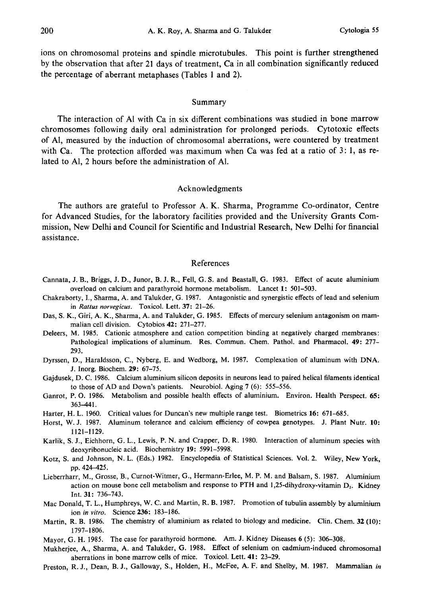ions on chromosomal proteins and spindle microtubules. This point is further strengthened by the observation that after 21 days of treatment, Ca in all combination significantly reduced the percentage of aberrant metaphases (Tables 1 and 2).

## Summary

The interaction of Al with Ca in six different combinations was studied in bone marrow chromosomes following daily oral administration for prolonged periods. Cytotoxic effects of Al, measured by the induction of chromosomal aberrations, were countered by treatment with Ca. The protection afforded was maximum when Ca was fed at a ratio of 3: 1, as related to Al, 2 hours before the administration of Al.

# Acknowledgments

The authors are grateful to Professor A. K. Sharma, Programme Co-ordinator, Centre for Advanced Studies, for the laboratory facilities provided and the University Grants Commission, New Delhi and Council for Scientific and Industrial Research, New Delhi for financial assistance.

#### References

- Cannata, J. B., Briggs, J. D., Junor, B. J. R., Fell, G. S. and Beastall, G. 1983. Effect of acute aluminium overload on calcium and parathyroid hormone metabolism. Lancet 1: 501-503.
- Chakraborty, I., Sharma, A. and Talukder, G. 1987. Antagonistic and synergistic effects of lead and selenium in Rattus norvegicus. Toxicol. Lett. 37: 21-26.
- Das, S. K., Giri, A. K., Sharma, A. and Talukder, G. 1985. Effects of mercury selenium antagonism on mammalian cell division. Cytobios 42: 271-277.
- Deleers, M. 1985. Cationic atmosphere and cation competition binding at negatively charged membranes: Pathological implications of aluminum. Res. Commun. Chem. Pathol. and Pharmacol. 49: 277- 293.
- Dyrssen, D., Haraldsson, C., Nyberg, E. and Wedborg, M. 1987. Complexation of aluminum with DNA. J. Inorg. Biochem. 29: 67-75.
- Gajdusek, D. C. 1986. Calcium aluminium silicon deposits in neurons lead to paired helical filaments identical to those of AD and Down's patients. Neurobiol. Aging 7 (6): 555-556.
- Ganrot, P. 0. 1986. Metabolism and possible health effects of aluminium. Environ. Health Perspect. 65: 363-441.
- Harter, H. L. 1960. Critical values for Duncan's new multiple range test. Biometrics 16: 671-685.
- Horst, W. J. 1987. Aluminum tolerance and calcium efficiency of cowpea genotypes. J. Plant Nutr. 10: 1121-1129.
- Karlik, S. J., Eichhorn, G. L., Lewis, P. N. and Crapper, D. R. 1980. Interaction of aluminum species with deoxyribonucleic acid. Biochemistry 19: 5991-5998.
- Kotz, S. and Johnson, N. L. (Eds.) 1982. Encyclopedia of Statistical Sciences. Vol. 2. Wiley, New York, pp. 424-425.
- Lieberrharr, M., Grosse, B., Curnot-Witmer, G., Hermann-Erlee, M. P. M. and Balsam, S. 1987. Aluminium action on mouse bone cell metabolism and response to PTH and 1,25-dihydroxy-vitamin  $D<sub>a</sub>$ . Kidney Int. 31: 736-743.
- Mac Donald, T. L., Humphreys, W. C. and Martin, R. B. 1987. Promotion of tubulin assembly by aluminium ion in vitro. Science 236: 183-186.
- Martin, R. B. 1986. The chemistry of aluminium as related to biology and medicine. Clin. Chem. 32 (10): 1797-1806.
- Mayor, G. H. 1985. The case for parathyroid hormone. Am. J. Kidney Diseases 6 (5): 306-308.
- Mukherjee, A., Sharma, A. and Talukder, G. 1988. Effect of selenium on cadmium-induced chromosomal aberrations in bone marrow cells of mice. Toxicol. Lett. 41: 23-29.
- Preston, R. J., Dean, B. J., Galloway, S., Holden, H., McFee, A. F. and Shelby, M. 1987. Mammalian in